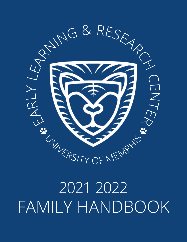

# FAMILY HANDBOOK 2021-2022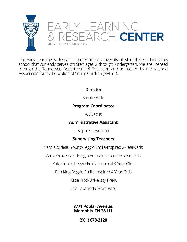

The Early Learning & Research Center at the University of Memphis is a laboratory school that currently serves children ages 2 through kindergarten. We are licensed through the Tennessee Department of Education and accredited by the National Association for the Education of Young Children (NAEYC).

# **Director**

Brooke Willis

# **Program Coordinator**

AK Dacus

# **Administrative Assistant**

Sophie Townsend

# **Supervising Teachers**

Carol Cordeau Young-Reggio Emilia-Inspired 2-Year-Olds

Anna Grace Weir-Reggio Emilia-Inspired 2/3-Year-Olds

Kate Gould- Reggio Emilia-Inspired 3-Year-Olds

Erin King-Reggio Emilia-Inspired 4-Year-Olds

Katie Kidd-University Pre-K

Ligia Lavarreda-Montessori

**3771 Poplar Avenue, Memphis, TN 38111**

**(901) 678-2120**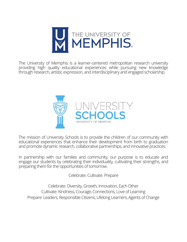

The University of Memphis is a learner-centered metropolitan research university providing high quality educational experiences while pursuing new knowledge through research, artistic expression, and interdisciplinary and engaged scholarship.



The mission of University Schools is to provide the children of our community with educational experiences that enhance their development from birth to graduation and promote dynamic research, collaborative partnerships, and innovative practices.

In partnership with our families and community, our purpose is to educate and engage our students by celebrating their individuality, cultivating their strengths, and preparing them for the opportunities of tomorrow.

Celebrate. Cultivate. Prepare

Celebrate: Diversity, Growth, Innovation, Each Other Cultivate: Kindness, Courage, Connections, Love of Learning Prepare: Leaders, Responsible Citizens, Lifelong Learners, Agents of Change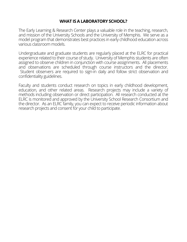# **WHAT IS A LABORATORY SCHOOL?**

The Early Learning & Research Center plays a valuable role in the teaching, research, and mission of the University Schools and the University of Memphis. We serve as a model program that demonstrates best practices in early childhood education across various classroom models.

Undergraduate and graduate students are regularly placed at the ELRC for practical experience related to their course of study. University of Memphis students are often assigned to observe children in conjunction with course assignments. All placements and observations are scheduled through course instructors and the director. Student observers are required to sign-in daily and follow strict observation and confidentiality guidelines.

Faculty and students conduct research on topics in early childhood development, education, and other related areas. Research projects may include a variety of methods including observation or direct participation. All research conducted at the ELRC is monitored and approved by the University School Research Consortium and the director. As an ELRC family, you can expect to receive periodic information about research projects and consent for your child to participate.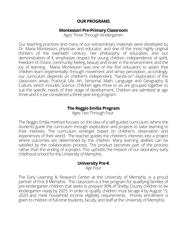# **OUR PROGRAMS**

## **Montessori Pre-Primary Classroom**

Ages Three Through Kindergarten

Our teaching practices and many of our extraordinary materials were developed by Dr. Maria Montessori, physician and educator, and one of the most highly original thinkers of the twentieth century. Her philosophy of education, and our demonstration of it, emphasize respect for young children, independence of spirit, freedom of choice, community feeling, beauty and order in the environment, and the joy of learning. Maria Montessori was one of the first educators to assert that children learn experientially, through movement and sense perception; accordingly, our curriculum depends on children's independent, "hands-on" exploration of the classroom areas: Practical Life, Art, Sensorial, Math, Language and Geography & Culture, which includes Science. Children ages three to six are grouped together to suit the specific needs of their stage of development. Children are admitted at age three and it is be considered a three-year-long program.

# **The Reggio Emilia Program**

Ages Two Through Four

The Reggio Emilia method focuses on the idea of a self-guided curriculum, where the students guide the curriculum through exploration and projects to tailor learning to their interests. The curriculum emerges based on children's observation and experiences of their world. The teacher guides the children's interests into a project where outcomes are determined by the children. Many learning abilities can be satisfied by the collaboration process. The product becomes part of the process rather than the ending of a project. This upholds the mission of our laboratory early childhood school for the University of Memphis.

#### **University Pre-K**

Age Four

The Early Learning & Research Center at the University of Memphis, is a proud partner of First 8 Memphis. This classroom is a free program for qualifying families of pre-kindergarten children that seeks to prepare 90% of Shelby County children to be kindergarten ready by 2025. In order to qualify, children must be age 4 by August 15, 2020 and meet household income eligibility requirements. Priority enrollment is given to children of full-time students, faculty, and staff at the University of Memphis.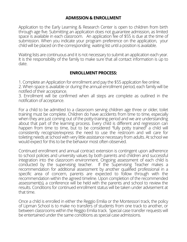## **ADMISSION & ENROLLMENT**

Application to the Early Learning & Research Center is open to children from birth through age five. Submitting an application does not guarantee admission, as limited space is available in each classroom. An application fee of \$55 is due at the time of submission. When you indicate your program preference on the application, your child will be placed on the corresponding waiting list until a position is available.

Waiting lists are continuous and it is not necessary to submit an application each year. It is the responsibility of the family to make sure that all contact information is up to date.

## **ENROLLMENT PROCESS:**

1. Complete an Application for enrollment and pay the \$55 application fee online. 2. When space is available or during the annual enrollment period, each family will be notified of their acceptance.

3. Enrollment will be confirmed when all steps are complete as outlined in the notification of acceptance.

For a child to be admitted to a classroom serving children age three or older, toilet training must be complete. Children do have accidents from time to time, especially when they are just coming out of the potty-training period and we are understanding about that part of the learning process. Every child is different and regression can happen from time to time, but to be considered "fully potty trained" a child will consistently recognize/express the need to use the restroom and will care for toileting needs at school with very little assistance necessary from adults. At school we would expect for this to be the behavior most often observed.

Continued enrollment and annual contract extension is contingent upon adherence to school policies and university values by both parents and children and successful integration into the classroom environment. Ongoing assessment of each child is conducted by the supervising teacher. If the Supervising Teacher makes a recommendation for additional assessment by another qualified professional in a specific area of concern, parents are expected to follow through with the recommendation within the agreed timeline. Upon completion of the recommended assessment(s), a conference will be held with the parents and school to review the results. Conditions for continued enrollment status will be taken under advisement at that time.

Once a child is enrolled in either the Reggio Emilia or the Montessori track, the policy of Lipman School is to make no transfers of students from one track to another, or between classrooms within the Reggio Emilia track. Special case transfer requests will be entertained under the same conditions as special case admissions.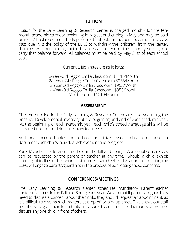## **TUITION**

Tuition for the Early Learning & Research Center is charged monthly for the tenmonth academic calendar beginning in August and ending in May and may be paid online. All balances must be kept current. Should an account become thirty days past due, it is the policy of the ELRC to withdraw the child(ren) from the center. Families with outstanding tuition balances at the end of the school year may not carry that balance forward. All balances must be paid by May 31st of each school year.

Current tuition rates are as follows:

2-Year-Old Reggio Emilia Classroom \$1110/Month 2/3-Year-Old Reggio Emilia Classroom \$955/Month 3-Year-Old Reggio Emilia Classroom \$955/Month 4-Year-Old Reggio Emilia Classroom \$955/Month Montessori \$1010/Month

#### **ASSESSMENT**

Children enrolled in the Early Learning & Research Center are assessed using the Brigance Developmental Inventory at the beginning and end of each academic year. At the beginning of each academic year, each child's speech/language skills will be screened in order to determine individual needs.

Additional anecdotal notes and portfolios are utilized by each classroom teacher to document each child's individual achievement and progress.

Parent/teacher conferences are held in the fall and spring. Additional conferences can be requested by the parent or teacher at any time. Should a child exhibit learning difficulties or behaviors that interfere with his/her classroom acclimation, the ELRC will engage parents/guardians in the process of addressing these concerns.

#### **CONFERENCES/MEETINGS**

The Early Learning & Research Center schedules mandatory Parent/Teacher conference times in the Fall and Spring each year. We ask that if parents or guardians need to discuss a concern about their child, they should request an appointment, as it is difficult to discuss such matters at drop off or pick up times. This allows our staff members to give their full attention to parent concerns. The Lipman staff will not discuss any one child in front of others.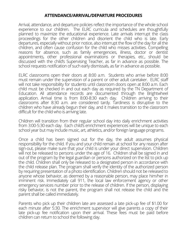## **ATTENDANCE/ARRIVAL/DEPARTURE PROCEDURES**

Arrival, attendance, and departure policies reflect the importance of the whole school experience to our children. The ELRC curricula and schedules are thoughtfully planned to maximize the educational experience. Late arrivals interrupt the class proceedings for the other children and disorient the child who is late. Early departures, especially without prior notice, also interrupt the flow of the day for all the children, and often cause confusion for the child who misses activities. Compelling reasons for absence, such as family emergencies, illness, doctor or dentist appointments, other professional examinations or therapies, etc., should be discussed with the child's Supervising Teacher, as far in advance as possible. The school requests notification of such early dismissals, as far in advance as possible.

ELRC classrooms open their doors at 8:00 a.m. Students who arrive before 8:00 must remain under the supervision of a parent or other adult caretaker. ELRC staff will not take responsibility for students until classroom doors open at 8:00 a.m. Each child must be checked in and out each day as required by the TN Department of Education. All attendance records are documented through the Brightwheel application. Arrival time is from 8:00-8:30 each day. Children arriving to their classrooms after 8:30 a.m. are considered tardy. Tardiness is disruptive to the children who have already begun their day, and it makes transition to the classroom difficult for the child who is arriving late.

Children will transition from their regular school day into daily enrichment activities from 3:00-5:30 each day. Each child's enrichment experiences will be unique to each school year but may include music, art, athletics, and/or foreign language programs.

Once a child has been signed out for the day, the adult assumes physical responsibility for the child. If you and your child remain at school for any reason after sign-out, please make sure that your child is under your direct supervision. Children will not be released to persons under the age of 16. Children shall be signed in and out of the program by the legal guardian or persons authorized on the list to pick up the child. Children shall only be released to a designated person in accordance with the child release plan. The program shall verify the identity of the authorized person by requiring presentation of a photo identification. Children should not be released to anyone whose behavior, as deemed by a reasonable person, may place him/her in imminent risk. Immediately call 911, the local law enforcement agency or other emergency services number prior to the release of children. If the person, displaying risky behavior, is not the parent, the program shall not release the child and the parent shall be called immediately.

Parents who pick up their children late are assessed a late pick-up fee of \$1.00 for each minute after 5:30. The enrichment supervisor will give parents a copy of their late pick-up fee notification upon their arrival. These fees must be paid before children can return to school the following day.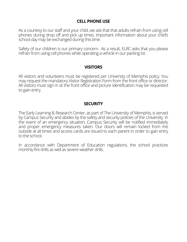# **CELL PHONE USE**

As a courtesy to our staff and your child, we ask that that adults refrain from using cell phones during drop off and pick up times. Important information about your child's school day may be exchanged during this time.

Safety of our children is our primary concern. As a result, ELRC asks that you please refrain from using cell phones while operating a vehicle in our parking lot.

#### **VISITORS**

All visitors and volunteers must be registered per University of Memphis policy. You may request the mandatory Visitor Registration Form from the front office or director. All visitors must sign in at the front office and picture identification may be requested to gain entry.

## **SECURITY**

The Early Learning & Research Center, as part of The University of Memphis, is served by Campus Security and abides by the safety and security policies of the University. In the event of an emergency situation, Campus Security will be notified immediately and proper emergency measures taken. Our doors will remain locked from the outside at all times and access cards are issued to each parent in order to gain entry to the school.

In accordance with Department of Education regulations, the school practices monthly fire drills as well as severe weather drills.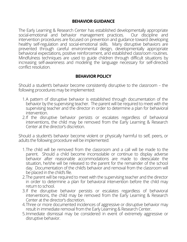# **BEHAVIOR GUIDANCE**

The Early Learning & Research Center has established developmentally appropriate social-emotional and behavior management practices. Our discipline and intervention procedures are focused on prevention and guidance toward developing healthy self-regulation and social-emotional skills. Many disruptive behaviors are prevented through careful environmental design, developmentally appropriate behavioral expectations, positive reinforcement, and established classroom routines. Mindfulness techniques are used to guide children through difficult situations by increasing self-awareness and modeling the language necessary for self-directed conflict resolution.

# **BEHAVIOR POLICY**

Should a student's behavior become consistently disruptive to the classroom – the following procedures may be implemented:

- A pattern of disruptive behavior is established through documentation of the 1. behavior by the supervising teacher. The parent will be required to meet with the supervising teacher and the director in order to determine a plan for behavioral intervention.
- If the disruptive behavior persists or escalates regardless of behavioral 2. interventions, the child may be removed from the Early Learning & Research Center at the director's discretion.

Should a student's behavior become violent or physically harmful to self, peers, or adults the following procedure will be implemented:

- The child will be removed from the classroom and a call will be made to the 1. parent. Should a child become inconsolable or continue to display adverse behavior after reasonable accommodations are made to deescalate the situation, he/she will be released to the parent for the remainder of the school day. Documentation of the child's behavior and removal from the classroom will be placed in the child's file.
- The parent will be required to meet with the supervising teacher and the director 2. in order to determine a plan for behavioral intervention before the child may return to school.
- If the disruptive behavior persists or escalates regardless of behavioral 3. interventions, the child may be removed from the Early Learning & Research Center at the director's discretion.
- Three or more documented incidences of aggressive or disruptive behavior may 4. result in immediate removal from the Early Learning & Research Center.
- 5. Immediate dismissal may be considered in event of extremely aggressive or disruptive behavior.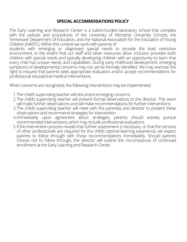# **SPECIAL ACCOMMODATIONS POLICY**

The Early Learning and Research Center is a tuition-funded laboratory school that complies with the policies and procedures of the University of Memphis University Schools, the Tennessee Department of Education, and the National Association for the Education of Young Children (NAEYC). Within this context we work with parents of

students with emerging or diagnosed special needs to provide the least restrictive environment, to the extent that our staff and other resources allow. Inclusion provides both children with special needs and typically developing children with an opportunity to learn that every child has unique needs and capabilities. During early childhood development, emerging symptoms of developmental concerns may not yet be formally identified. We may exercise the right to request that parents seek appropriate evaluation and/or accept recommendations for professional educational medical interventions.

When concerns are recognized, the following interventions may be implemented:

- The child's supervising teacher will document emerging concerns. 1.
- 2.The child's supervising teacher will present formal observations to the director. This team will make further observations and will make recommendations for further interventions.
- 3.The child's supervising teacher will meet with the parent(s) and director to present these observations and recommend strategies for intervention.
- Immediately upon agreement about strategies, parents should actively pursue 4. recommended interventions, which may include professional evaluations.
- If the intervention process reveals that further assessment is necessary, or that the services 5.of other professionals are required for the child's optimal learning experience, we expect parents to follow through with those recommendations immediately. Should parents choose not to follow through, the director will outline the circumstances of continued enrollment at the Early Learning and Research Center.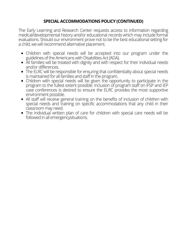# **SPECIAL ACCOMMODATIONS POLICY (CONTINUED)**

The Early Learning and Research Center requests access to information regarding medical/developmental history and/or educational records which may include formal evaluations. Should our environment prove not to be the best educational setting for a child, we will recommend alternative placement.

- Children with special needs will be accepted into our program under the guidelines of the Americans with Disabilities Act (ADA).
- All families will be treated with dignity and with respect for their individual needs and/or differences.
- The ELRC will be responsible for ensuring that confidentiality about special needs is maintained for all families and staff in the program.
- Children with special needs will be given the opportunity to participate in the program to the fullest extent possible. Inclusion of program staff on IFSP and IEP case conferences is desired to ensure the ELRC provides the most supportive environment possible.
- All staff will receive general training on the benefits of inclusion of children with special needs and training on specific accommodations that any child in their classroom may need.
- The individual written plan of care for children with special care needs will be followed in all emergencysituations.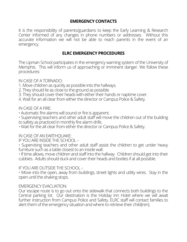# **EMERGENCY CONTACTS**

It is the responsibility of parents/guardians to keep the Early Learning & Research Center informed of any changes in phone numbers or addresses. Without this accurate information we will not be able to reach parents in the event of an emergency.

## **ELRC EMERGENCY PROCEDURES**

The Lipman School participates in the emergency warning system of the University of Memphis. This will inform us of approaching or imminent danger. We follow these procedures:

IN CASE OF A TORNADO:

- 1. Move children as quickly as possible into the hallways.
- 2. They should lie as close to the ground as possible.
- 3. They should cover their heads with either their hands or naptime cover.
- 4. Wait for an all clear from either the director or Campus Police & Safety.

IN CASE OF A FIRE:

• Automatic fire alarms will sound or fire is apparent.

• Supervising teachers and other adult staff will move the children out of the building to safety as practiced in monthly fire alarm drills.

• Wait for the all clear from either the director or Campus Police & Safety.

IN CASE OF AN EARTHQUAKE:

IF YOU ARE INSIDE THE SCHOOL –

• Supervising teachers and other adult staff assist the children to get under heavy furniture such as a table closest to an inside wall.

• If time allows, move children and staff into the hallway. Children should get into their cubbies. Adults should duck and cover their heads and bodies if at all possible.

IF YOU ARE OUTSIDE THE SCHOOL –

• Move into the open, away from buildings, street lights and utility wires. Stay in the open until the shaking stops.

#### EMERGENCY EVACUATION:

Our escape route is to go out onto the sidewalk that connects both buildings to the Central parking lot. Our destination is the Holiday Inn Hotel where we will await further instruction from Campus Police and Safety. ELRC staff will contact families to alert them of the emergency situation and where to retrieve their child(ren).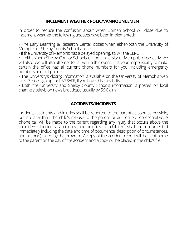# **INCLEMENT WEATHER POLICY/ANNOUNCEMENT**

In order to reduce the confusion about when Lipman School will close due to inclement weather the following updates have been implemented:

• The Early Learning & Research Center closes when either/both the University of Memphis or Shelby County Schools close.

• If the University of Memphis has a delayed opening, so will the ELRC

• If either/both Shelby County Schools or the University of Memphis close early, we will also. We will also attempt to call you in this event. It is your responsibility to make certain the office has all current phone numbers for you, including emergency numbers and cell phones.

• The University's closing information is available on the University of Memphis web site. Please sign up for LIVESAFE, if you have this capability.

• Both the University and Shelby County Schools information is posted on local channels' television news broadcast, usually by 5:00 a.m.

# **ACCIDENTS/INCIDENTS**

Incidents, accidents and injuries shall be reported to the parent as soon as possible, but no later than the child's release to the parent or authorized representative. A phone call will be made to the parent regarding any injury that occurs above the shoulders. Incidents, accidents and injuries to children shall be documented immediately including the date and time of occurrence, description of circumstances, and action(s) taken by the program. A copy of the accident report will be sent home to the parent on the day of the accident and a copy will be placed in the child's file.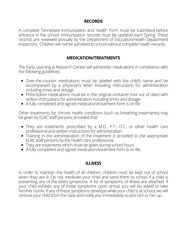## **RECORDS**

A complete Tennessee Immunization and Health Form must be submitted before entrance in the school. Immunization records must be updated each Spring. These records are reviewed annually by the Department of Education/Health Department inspectors. Children will not be admitted to school without complete health records.

# **MEDICATION/TREATMENTS**

The Early Learning & Research Center will administer medications in compliance with the following guidelines:

- Over-the-counter medications must be labeled with the child's name and be accompanied by a physician's letter including instructions for administration including times and dosage
- Prescription medications must be in the original container (not out of date) with written instructions for administration including times and dosage
- A fully completed and signed medication/treatment form is on file

Other treatments for chronic health conditions (such as breathing treatments) may be given by ELRC staff persons, provided that:

- They are treatments prescribed by a M.D., P.T., O.T., or other health care professional and written instructions for administration.
- Training in the administration of the treatment is provided to the appropriate ELRC staff persons by the health care professional.
- They are treatments which must be given during school hours.
- A fully completed and signed medication/treatment form is on file.

## **ILLNESS**

In order to maintain the health of all children, children must be kept out of school when they are ill. Do not medicate your child and send them to school if a child is presenting any of the listed symptoms. A list of symptoms of illness are attached. If your child exhibits any of these symptoms upon arrival, you will be asked to take him/her home. If any of these symptoms develops while your child is at school, we will remove your child from the class and notify you immediately to pick him or her up.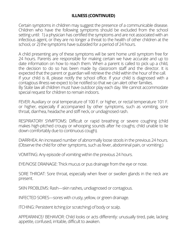# **ILLNESS (CONTINUED)**

Certain symptoms in children may suggest the presence of a communicable disease. Children who have the following symptoms should be excluded from the school setting until: 1) a physician has certified the symptoms and are not associated with an infectious agent, or they are no longer a threat to the health of other children at the school, or 2) the symptoms have subsided for a period of 24 hours.

A child presenting any of these symptoms will be sent home until symptom free for 24 hours. Parents are responsible for making certain we have accurate and up to date information on how to reach them. When a parent is called to pick up a child, the decision to do so has been made by classroom staff and the director. It is expected that the parent or guardian will retrieve the child within the hour of the call. If your child is ill, please notify the school office. If your child is diagnosed with a contagious illness we expect to be notified so that we can alert other families. By State law all children must have outdoor play each day. We cannot accommodate special request for children to remain indoors.

FEVER: Auxiliary or oral temperature of 100 F. or higher, or rectal temperature 101 F. or higher, especially if accompanied by other symptoms, such as vomiting, sore throat, diarrhea, headache and stiff neck, or undiagnosed rash.

RESPIRATORY SYMPTOMS: Difficult or rapid breathing or severe coughing (child makes high-pitched croupy or whooping sounds after he coughs; child unable to lie down comfortably due to continuous cough).

DIARRHEA: An increased number of abnormally loose stools in the previous 24 hours. (Observe the child for other symptoms, such as fever, abdominal pain, or vomiting.)

VOMITING: Any episode of vomiting within the previous 24 hours.

EYE/NOSE DRAINAGE: Thick mucus or pus drainage from the eye or nose.

SORE THROAT: Sore throat, especially when fever or swollen glands in the neck are present.

SKIN PROBLEMS: Rash—skin rashes, undiagnosed or contagious.

INFECTED SORES—sores with crusty, yellow, or green drainage.

ITCHING: Persistent itching (or scratching) of body or scalp.

APPEARANCE/ BEHAVIOR: Child looks or acts differently: unusually tired, pale, lacking appetite, confused, irritable, difficult to awaken.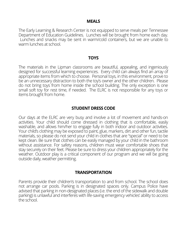#### **MEALS**

The Early Learning & Research Center is not equipped to serve meals per Tennessee Department of Education Guidelines. Lunches will be brought from home each day. Lunches and snacks may be sent in warm/cold containers, but we are unable to warm lunches at school.

#### **TOYS**

The materials in the Lipman classrooms are beautiful, appealing, and ingeniously designed for successful learning experiences. Every child can always find an array of appropriate items from which to choose. Personal toys, in this environment, prove to be an unnecessary distraction to both the toy's owner and the other children. Please do not bring toys from home inside the school building. The only exception is one small soft toy for rest time, if needed. The ELRC is not responsible for any toys or items brought from home.

## **STUDENT DRESS CODE**

Our days at the ELRC are very busy and involve a lot of movement and hands-on activities. Your child should come dressed in clothing that is comfortable, easily washable, and allows him/her to engage fully in both indoor and outdoor activities. Your child's clothing may be exposed to paint, glue, markers, dirt and other fun, tactile materials, so please do not send your child in clothes that are "special" or need to be kept clean. Be sure that clothes can be easily managed by your child in the bathroom without assistance. For safety reasons, children must wear comfortable shoes that stay securely on their feet. Please be sure to dress your children appropriately for the weather. Outdoor play is a critical component of our program and we will be going outside daily, weather permitting.

#### **TRANSPORTATION**

Parents provide their children's transportation to and from school. The school does not arrange car pools. Parking is in designated spaces only. Campus Police have advised that parking in non-designated places (i.e. the end of the sidewalk and double parking) is unlawful and interferes with life-saving emergency vehicles' ability to access the school.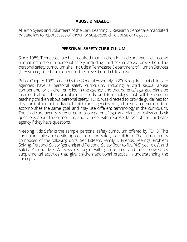# **ABUSE & NEGLECT**

All employees and volunteers of the Early Learning & Research Center are mandated by state law to report cases of known or suspected child abuse or neglect.

# **PERSONAL SAFETY CURRICULUM**

Since 1985, Tennessee law has required that children in child care agencies receive annual instruction in personal safety, including child sexual abuse prevention. The personal safety curriculum shall include a Tennessee Department of Human Services (TDHS) recognized component on the prevention of child abuse.

Public Chapter 1032 passed by the General Assembly in 2008 requires that child care agencies have a personal safety curriculum, including a child sexual abuse component, for children enrolled in the agency, and that parents/legal guardians be informed about the curriculum, methods and terminology that will be used in teaching children about personal safety. TDHS was directed to provide guidelines for this curriculum, but individual child care agencies may choose a curriculum that accomplishes the same goal, and may use different terminology in the curriculum. The child care agency is required to allow parents/legal guardians to review and ask questions about the curriculum, and to meet with representatives of the child care agency if they have questions.

"Keeping Kids Safe" is the sample personal safety curriculum offered by TDHS. This curriculum takes a holistic approach to the safety of children. The curriculum is composed of the following units: Self Esteem, Family & Friends, Feelings, Problem Solving, Personal Safety (general) and Personal Safety (four to five (4-5) year olds), and Safety Around Me. All sessions begin with group time and are followed by supplemental activities that give children additional practice in understanding the concepts.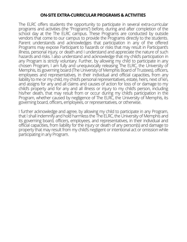## **ON-SITE EXTRA-CURRICULAR PROGRAMS & ACTIVITIES**

The ELRC offers students the opportunity to participate in several extra-curricular programs and activities (the "Programs") before, during and after completion of the school day at the The ELRC campus. These Programs are conducted by outside vendors that come to our campus to provide the Programs directly to the students. Parent understands and acknowledges that participation in any of the offered Programs may expose Participant to hazards or risks that may result in Participant's illness, personal injury, or death and I understand and appreciate the nature of such hazards and risks. I also understand and acknowledge that my child's participation in any Program is strictly voluntary. Further, by allowing my child to participate in any chosen Program, I am fully and unequivocally releasing The ELRC, the University of Memphis, its governing board (The University of Memphis Board of Trustees), officers, employees and representatives, in their individual and official capacities, from any liability to me or my child, my child's personal representatives, estate, heirs, next of kin, and assigns for any and all claims and causes of action for loss of or damage to my child's property and for any and all illness or injury to my child's person, including his/her death, that may result from or occur during my child's participation in the Program, whether caused by negligence of The ELRC, the University of Memphis, its governing board, officers, employees, or representatives, or otherwise.

I further acknowledge and agree, by allowing my child to participate in any Program, that I shall indemnify and hold harmless the The ELRC, the University of Memphis and its governing board, officers, employees, and representatives, in their individual and official capacities, from liability for the injury or death of any person(s) and damage to property that may result from my child's negligent or intentional act or omission while participating in any Program.